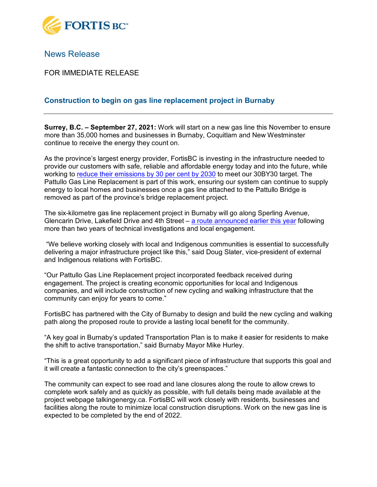

## News Release

FOR IMMEDIATE RELEASE

## **Construction to begin on gas line replacement project in Burnaby**

**Surrey, B.C. – September 27, 2021:** Work will start on a new gas line this November to ensure more than 35,000 homes and businesses in Burnaby, Coquitlam and New Westminster continue to receive the energy they count on.

As the province's largest energy provider, FortisBC is investing in the infrastructure needed to provide our customers with safe, reliable and affordable energy today and into the future, while working to [reduce their emissions by 30 per cent by 2030](https://www.fortisbc.com/about-us/our-30by30-target) to meet our 30BY30 target. The Pattullo Gas Line Replacement is part of this work, ensuring our system can continue to supply energy to local homes and businesses once a gas line attached to the Pattullo Bridge is removed as part of the province's bridge replacement project.

The six-kilometre gas line replacement project in Burnaby will go along Sperling Avenue, Glencarin Drive, Lakefield Drive and 4th Street  $-$  [a route announced earlier this year](https://www.fortisbc.com/news-events/media-centre-details/2021/04/20/community-feedback-helps-decide-new-gas-line-route-in-burnaby) following more than two years of technical investigations and local engagement.

"We believe working closely with local and Indigenous communities is essential to successfully delivering a major infrastructure project like this," said Doug Slater, vice-president of external and Indigenous relations with FortisBC.

"Our Pattullo Gas Line Replacement project incorporated feedback received during engagement. The project is creating economic opportunities for local and Indigenous companies, and will include construction of new cycling and walking infrastructure that the community can enjoy for years to come."

FortisBC has partnered with the City of Burnaby to design and build the new cycling and walking path along the proposed route to provide a lasting local benefit for the community.

"A key goal in Burnaby's updated Transportation Plan is to make it easier for residents to make the shift to active transportation," said Burnaby Mayor Mike Hurley.

"This is a great opportunity to add a significant piece of infrastructure that supports this goal and it will create a fantastic connection to the city's greenspaces."

The community can expect to see road and lane closures along the route to allow crews to complete work safely and as quickly as possible, with full details being made available at the project webpage talkingenergy.ca. FortisBC will work closely with residents, businesses and facilities along the route to minimize local construction disruptions. Work on the new gas line is expected to be completed by the end of 2022.